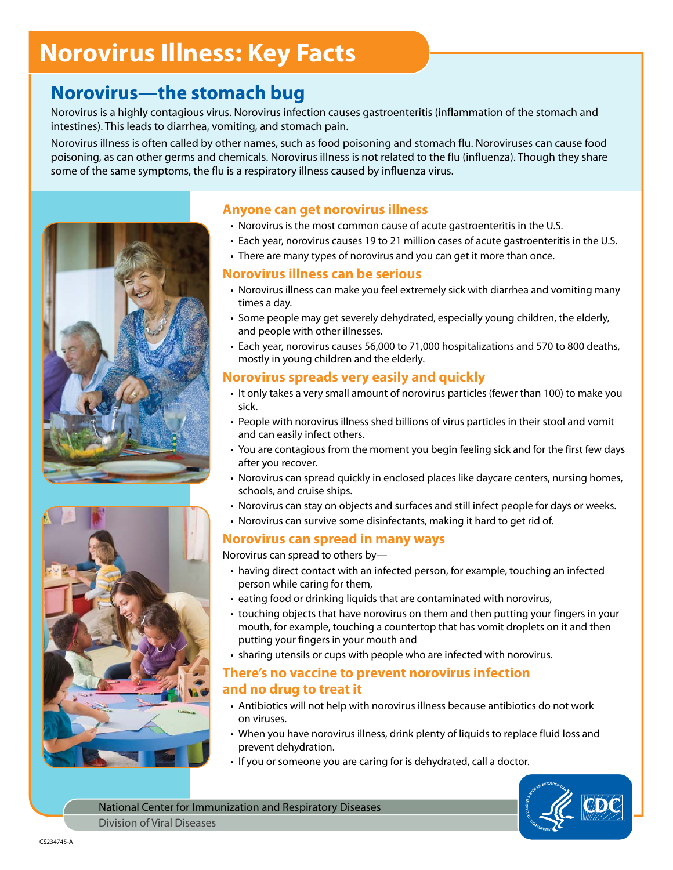# **Norovirus Illness: Key Facts**

### **Norovirus—the stomach bug**

Norovirus is a highly contagious virus. Norovirus infection causes gastroenteritis (inflammation of the stomach and intestines). This leads to diarrhea, vomiting, and stomach pain.

Norovirus illness is often called by other names, such as food poisoning and stomach flu. Noroviruses can cause food poisoning, as can other germs and chemicals. Norovirus illness is not related to the flu (influenza). Though they share some of the same symptoms, the flu is a respiratory illness caused by influenza virus.





#### **Anyone can get norovirus illness**

- Norovirus is the most common cause of acute gastroenteritis in the U.S.
- • Each year, norovirus causes 19 to 21 million cases of acute gastroenteritis in the U.S.
- There are many types of norovirus and you can get it more than once.

#### **Norovirus illness can be serious**

- • Norovirus illness can make you feel extremely sick with diarrhea and vomiting many times a day.
- Some people may get severely dehydrated, especially young children, the elderly, and people with other illnesses.
- • Each year, norovirus causes 56,000 to 71,000 hospitalizations and 570 to 800 deaths, mostly in young children and the elderly.

#### **Norovirus spreads very easily and quickly**

- It only takes a very small amount of norovirus particles (fewer than 100) to make you sick.
- • People with norovirus illness shed billions of virus particles in their stool and vomit and can easily infect others.
- You are contagious from the moment you begin feeling sick and for the first few days after you recover.
- Norovirus can spread quickly in enclosed places like daycare centers, nursing homes, schools, and cruise ships.
- Norovirus can stay on objects and surfaces and still infect people for days or weeks.
- Norovirus can survive some disinfectants, making it hard to get rid of.

#### **Norovirus can spread in many ways**

Norovirus can spread to others by—

- having direct contact with an infected person, for example, touching an infected person while caring for them,
- eating food or drinking liquids that are contaminated with norovirus,
- touching objects that have norovirus on them and then putting your fingers in your mouth, for example, touching a countertop that has vomit droplets on it and then putting your fingers in your mouth and
- sharing utensils or cups with people who are infected with norovirus.

#### **There's no vaccine to prevent norovirus infection and no drug to treat it**

- Antibiotics will not help with norovirus illness because antibiotics do not work on viruses.
- When you have norovirus illness, drink plenty of liquids to replace fluid loss and prevent dehydration.
- If you or someone you are caring for is dehydrated, call a doctor.



National Center for Immunization and Respiratory Diseases Division of Viral Diseases